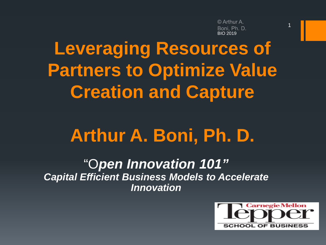© Arthur A. Boni. Ph. D. BIO 2019

1

# **Leveraging Resources of Partners to Optimize Value Creation and Capture**

# **Arthur A. Boni, Ph. D.**

"O*pen Innovation 101" Capital Efficient Business Models to Accelerate Innovation*

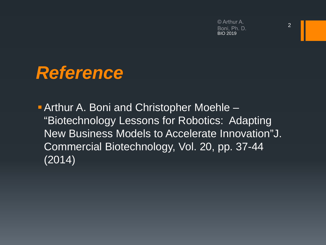© Arthur A. Boni, Ph. D. BIO 2019

## *Reference*

**Arthur A. Boni and Christopher Moehle –** "Biotechnology Lessons for Robotics: Adapting New Business Models to Accelerate Innovation"J. Commercial Biotechnology, Vol. 20, pp. 37-44 (2014)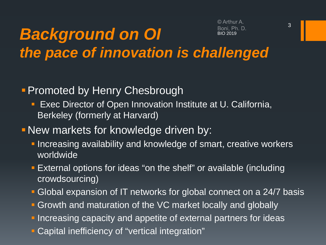© Arthur A. Roni Ph D. BIO 2019

## *Background on OI the pace of innovation is challenged*

#### **Promoted by Henry Chesbrough**

- **Exec Director of Open Innovation Institute at U. California,** Berkeley (formerly at Harvard)
- New markets for knowledge driven by:
	- **Increasing availability and knowledge of smart, creative workers** worldwide
	- External options for ideas "on the shelf" or available (including crowdsourcing)
	- Global expansion of IT networks for global connect on a 24/7 basis
	- **Growth and maturation of the VC market locally and globally**
	- **Increasing capacity and appetite of external partners for ideas**
	- Capital inefficiency of "vertical integration"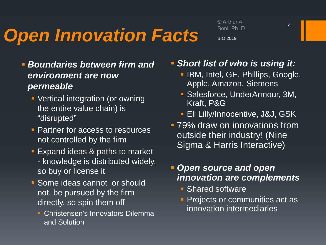# *Open Innovation Facts*

© Arthur A. Boni, Ph. D. BIO 2019

- *Boundaries between firm and environment are now permeable*
	- Vertical integration (or owning the entire value chain) is "disrupted"
	- **Partner for access to resources** not controlled by the firm
	- **Expand ideas & paths to market** - knowledge is distributed widely, so buy or license it
	- **Some ideas cannot or should** not, be pursued by the firm directly, so spin them off
		- **Christensen's Innovators Dilemma** and Solution
- *Short list of who is using it:*
	- **IBM, Intel, GE, Phillips, Google,** Apple, Amazon, Siemens
	- Salesforce, UnderArmour, 3M, Kraft, P&G
	- **Eli Lilly/Innocentive, J&J, GSK**
- **79% draw on innovations from** outside their industry! (Nine Sigma & Harris Interactive)

#### *Open source and open innovation are complements*

- **Shared software**
- **Projects or communities act as** innovation intermediaries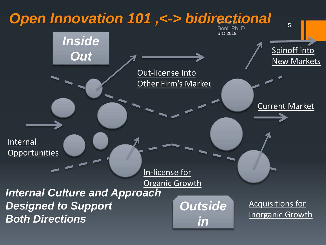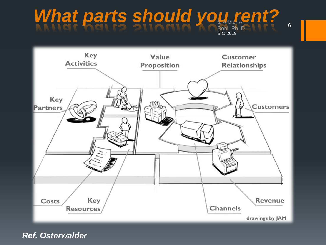#### Boni, Ph. D. What parts should you rent?



*Ref. Osterwalder*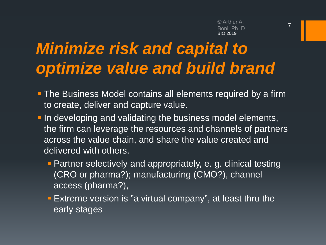# *Minimize risk and capital to optimize value and build brand*

- **The Business Model contains all elements required by a firm** to create, deliver and capture value.
- **In developing and validating the business model elements,** the firm can leverage the resources and channels of partners across the value chain, and share the value created and delivered with others.
	- **Partner selectively and appropriately, e. g. clinical testing** (CRO or pharma?); manufacturing (CMO?), channel access (pharma?),
	- **Extreme version is "a virtual company", at least thru the** early stages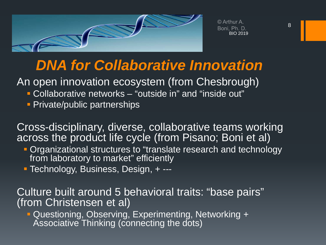

© Arthur A. Boni, Ph. D. BIO 2019

### *DNA for Collaborative Innovation*

An open innovation ecosystem (from Chesbrough)

- Collaborative networks "outside in" and "inside out"
- **Private/public partnerships**

Cross-disciplinary, diverse, collaborative teams working across the product life cycle (from Pisano; Boni et al)

- **Organizational structures to "translate research and technology** from laboratory to market" efficiently
- Technology, Business, Design, + ---

Culture built around 5 behavioral traits: "base pairs" (from Christensen et al)

 Questioning, Observing, Experimenting, Networking + Associative Thinking (connecting the dots)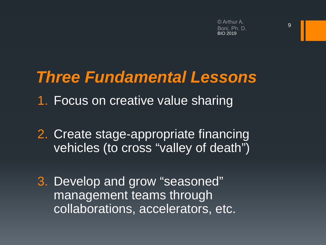## *Three Fundamental Lessons*

- 1. Focus on creative value sharing
- 2. Create stage-appropriate financing vehicles (to cross "valley of death")
- 3. Develop and grow "seasoned" management teams through collaborations, accelerators, etc.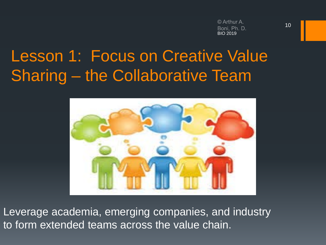## Lesson 1: Focus on Creative Value Sharing – the Collaborative Team



Leverage academia, emerging companies, and industry to form extended teams across the value chain.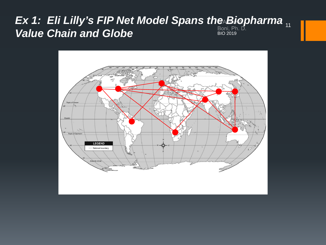#### *Ex 1: Eli Lilly's FIP Net Model Spans the Biopharma* **Value Chain and Globe** BIO 2019

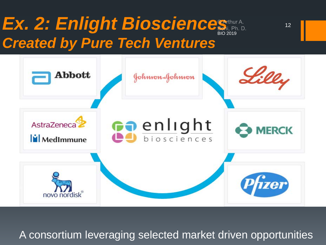# Ex. 2: Enlight Bioscience *Created by Pure Tech Ventures*



A consortium leveraging selected market driven opportunities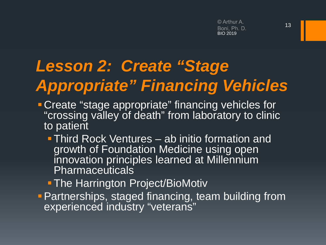# *Lesson 2: Create "Stage Appropriate" Financing Vehicles*

- **Create "stage appropriate" financing vehicles for** "crossing valley of death" from laboratory to clinic to patient
	- **Third Rock Ventures ab initio formation and** growth of Foundation Medicine using open innovation principles learned at Millennium Pharmaceuticals
	- **The Harrington Project/BioMotiv**
- **Partnerships, staged financing, team building from** experienced industry "veterans"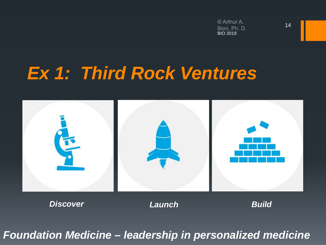# *Ex 1: Third Rock Ventures*



*Foundation Medicine – leadership in personalized medicine*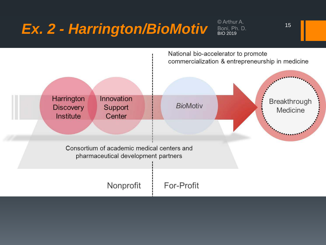# *Ex. 2 - Harrington/BioMotiv* Bloni, Ph. D.



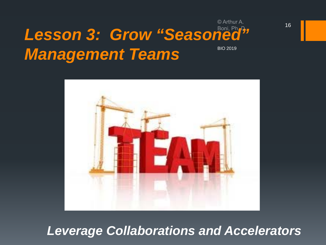#### *Lesson 3: Grow "Seasoned" Management Teams* BIO 2019



#### *Leverage Collaborations and Accelerators*

© Arthur A.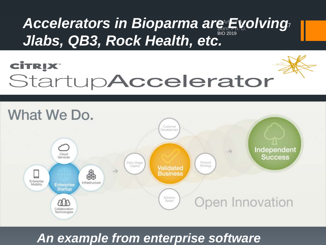#### **Jlabs, QB3, Rock Health, etc.** BIO 2019 17 *Accelerators in Bioparma are Evolving*

## **CİTRIX®** StartupAccelerator



#### *An example from enterprise software*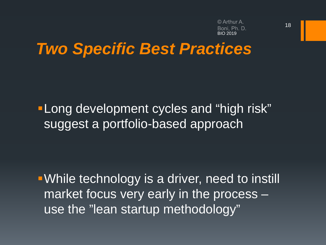© Arthur A. BIO 2019

## *Two Specific Best Practices*

**-Long development cycles and "high risk"** suggest a portfolio-based approach

While technology is a driver, need to instill market focus very early in the process – use the "lean startup methodology"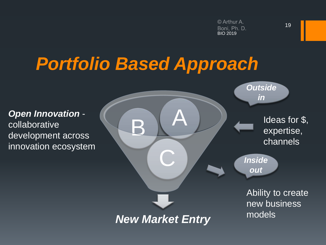# *Portfolio Based Approach*

collaborative innovation ecosystem

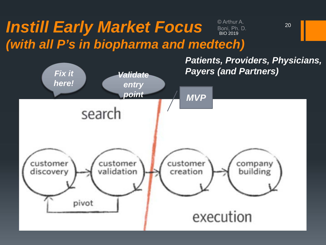#### *Instill Early Market Focus*  © Arthur A. Boni, Ph. D.<br>BIO 2019 *(with all P's in biopharma and medtech)*